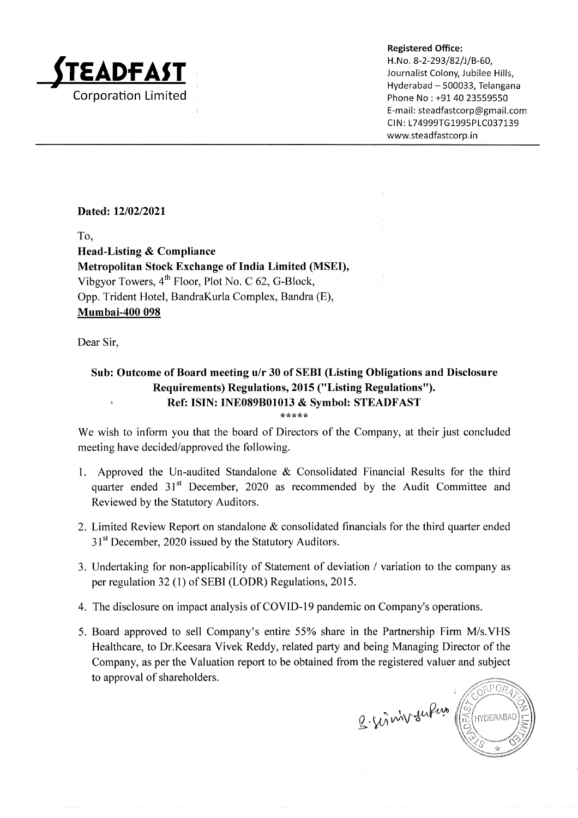

Hyderabad - 500033, Telangana Phone No: +91 40 23559550 E-mail : steadfastcorp@gmail.com Cl N : 174999TG1995P1C037 139 www.steadfastcorp.in

## Dated: 12/02/2021

To,

Head-Listing & Compliance Metropolitan Stock Exchange of India Limited (MSEI), Vibgyor Towers,  $4<sup>th</sup>$  Floor, Plot No. C 62, G-Block, Opp. Trident Hotel, BandraKurla Complex, Bandra (E), Mumbai-400 098

Dear Sir,

# Sub: Outcome of Board meeting u/r 30 of SEBI (Listing Obligations and Disclosure Requirements) Regulations, 2015 ("Listing Regulations"). Ref: ISIN: INE089B01013 & Symbol: STEADFAST

\*\*\*\*\*

We wish to inform you that the board of Directors of the Company, at their just concluded meeting have decided/approved the following.

- l. Approved the Un-audited Standalone & Consolidated Financial Results for the third quarter ended 31<sup>st</sup> December, 2020 as recommended by the Audit Committee and Reviewed by the Statutory Auditors.
- 2. Limited Review Report on standalone & consolidated financials for the third quarter ended 31<sup>st</sup> December, 2020 issued by the Statutory Auditors.
- 3. Undertaking for non-applicability of Statement of deviation / variation to the company as per regulation32 (1) of SEBI (LODR) Regulations, 2015.
- 4. The disclosure on impact analysis of COVID-19 pandemic on Company's operations
- 5. Board approved to sell Company's entire 55% share in the Partnership Firm M/s.VHS Healthcare, to Dr.Keesara Vivek Reddy, related party and being Managing Director of the Company, as per the Valuation report to be obtained from the registered valuer and subject to approval of shareholders.

HYDERABAD B-sismiv sufux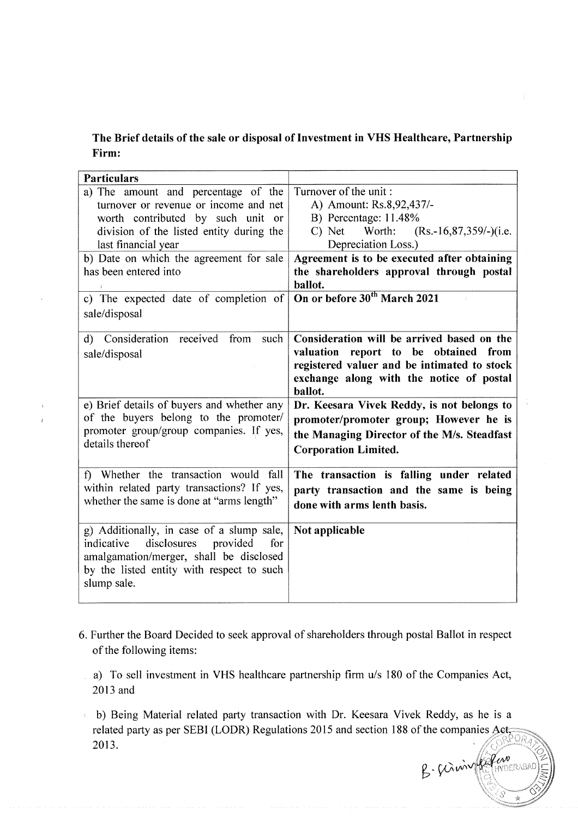# The Brief details of the sale or disposal of Investment in VHS Healthcare, Partnership Firm:

| <b>Particulars</b>                                                                                                                                                                                                                                                                                                 |                                                                                                                                                                                                                                                                                                     |
|--------------------------------------------------------------------------------------------------------------------------------------------------------------------------------------------------------------------------------------------------------------------------------------------------------------------|-----------------------------------------------------------------------------------------------------------------------------------------------------------------------------------------------------------------------------------------------------------------------------------------------------|
| a) The amount and percentage of the<br>turnover or revenue or income and net<br>worth contributed by such unit or<br>division of the listed entity during the<br>last financial year<br>b) Date on which the agreement for sale<br>has been entered into<br>c) The expected date of completion of<br>sale/disposal | Turnover of the unit:<br>A) Amount: Rs.8,92,437/-<br>B) Percentage: 11.48%<br>Worth:<br>$(Rs.-16,87,359/–)(i.e.$<br>C) Net<br>Depreciation Loss.)<br>Agreement is to be executed after obtaining<br>the shareholders approval through postal<br>ballot.<br>On or before 30 <sup>th</sup> March 2021 |
| d) Consideration received from such<br>sale/disposal                                                                                                                                                                                                                                                               | Consideration will be arrived based on the<br>valuation report to be obtained from<br>registered valuer and be intimated to stock<br>exchange along with the notice of postal<br>ballot.                                                                                                            |
| e) Brief details of buyers and whether any<br>of the buyers belong to the promoter/<br>promoter group/group companies. If yes,<br>details thereof                                                                                                                                                                  | Dr. Keesara Vivek Reddy, is not belongs to<br>promoter/promoter group; However he is<br>the Managing Director of the M/s. Steadfast<br><b>Corporation Limited.</b>                                                                                                                                  |
| f) Whether the transaction would<br>fall<br>within related party transactions? If yes,<br>whether the same is done at "arms length"                                                                                                                                                                                | The transaction is falling under related<br>party transaction and the same is being<br>done with arms lenth basis.                                                                                                                                                                                  |
| g) Additionally, in case of a slump sale,<br>indicative<br>disclosures<br>provided<br>for<br>amalgamation/merger, shall be disclosed<br>by the listed entity with respect to such<br>slump sale.                                                                                                                   | Not applicable                                                                                                                                                                                                                                                                                      |

- 6. Further the Board Decided to seek approval of shareholders through postal Ballot in respect of the following items:
	- a) To sell investment in VHS healthcare partnership firm u/s 180 of the Companies Act, 2013 and
- b) Being Material related party transaction with Dr. Keesara Vivek Reddy, as he is a 2013. related party as per SEBI (LODR) Regulations 2015 and section 188 of the companies Aet,

 $2 - \gamma$ -n,,iAn f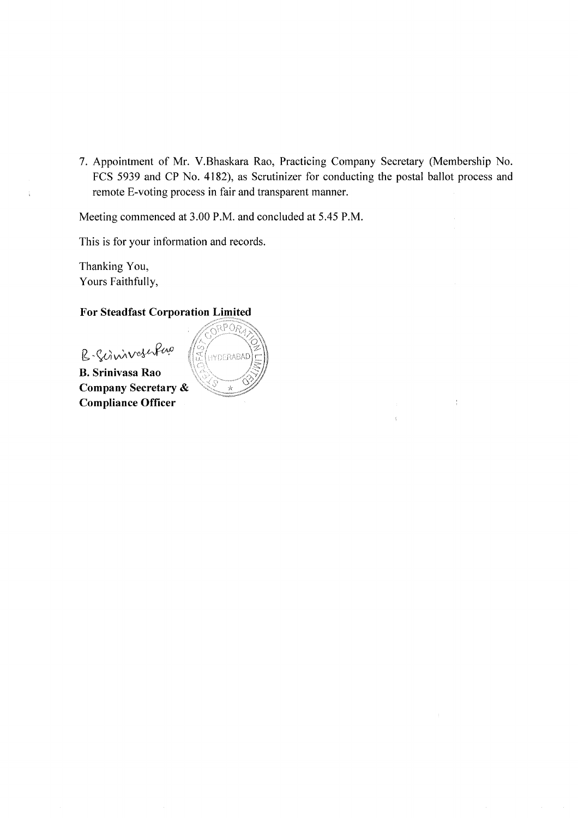7. Appointment of Mr. V.Bhaskara Rao, Practicing Company Secretary (Membership No. FCS 5939 and CP No. 4182), as Scrutinizer for conducting the postal ballot process and remote E-voting process in fair and transparent manner.

Meeting commenced at 3.00 P.M. and concluded at 5.45 P.M.

This is for your information and records.

Thanking You, Yours Faithfully,

## For Steadfast Corporation

B-Scinivoschero

B. Srinivasa Rao Company Secretary & Compliance Officer

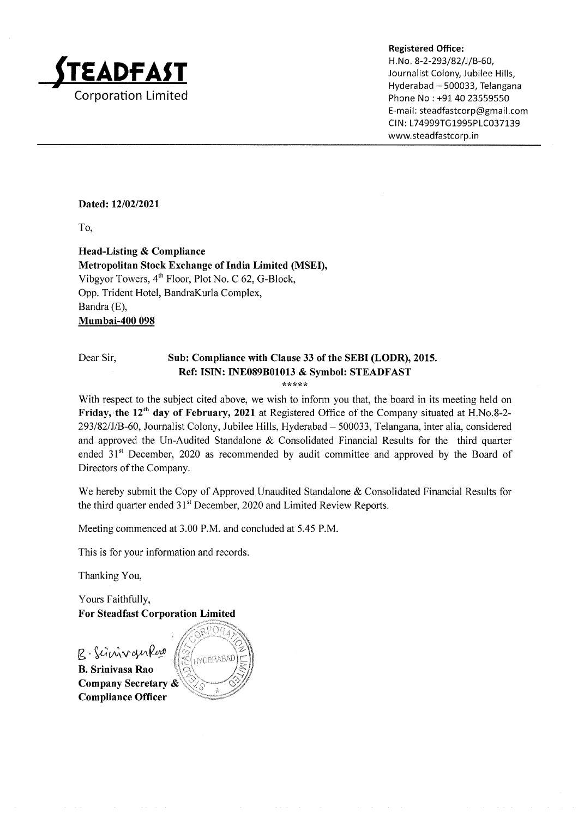

H. No. 8-2-293/82/J/B-60, Journalist Colony, Jubilee Hills, Hyderabad - 500033, Telangana Phone No : +91 40 23559550 E-mail: steadfastcorp@gmail.com CIN: L74999TG1995PLC037139 www.steadfastcorp. in

## Dated: 12/02/2021

To,

Head-Listing & Compliance Metropolitan Stock Exchange of India Limited (MSED, Vibgyor Towers,  $4<sup>th</sup>$  Floor, Plot No. C 62, G-Block, Opp. Trident Hotel, BandraKurla Complex, Bandra (E), Mumbai-4O0 098

#### Dear Sir, Sub: Compliance with Clause 33 of the SEBI (LODR), 2015. Ref: ISIN: INE089801013 & Symbol: STEADFAST

\*rt\*\*\*

With respect to the subject cited above, we wish to inform you that, the board in its meeting held on Friday, the 12<sup>th</sup> day of February, 2021 at Registered Office of the Company situated at H.No.8-2-293/82/J/B-60, Journalist Colony, Jubilee Hills, Hyderabad - 500033, Telangana, inter alia, considered and approved the Un-Audited Standalone & Consolidated Financial Results for the third quarter ended  $31<sup>st</sup>$  December, 2020 as recommended by audit committee and approved by the Board of Directors of the Company.

We hereby submit the Copy of Approved Unaudited Standalone & Consolidated Financial Results for the third quarter ended 31" December, 2020 and Limited Review Reports.

Meeting commenced at 3.00 P.M. and concluded at 5.45 P.M.

This is for your information and records.

Thanking You,

Yours Faithfully, For Steadfast Corporation Limited

R-ScinivanRwo B. Srinivasa Rao Company Secretary & Compliance Officer

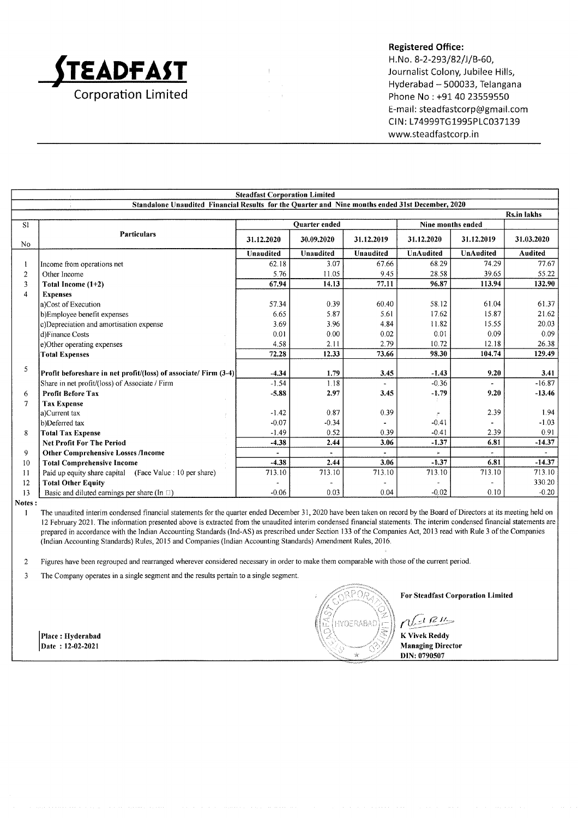

H.No. 8-2-293/82/J/B-60, Journalist Colony, Jubilee Hills, Hyderabad - 500033, Telangana Phone No : +91 40 23559550 E-mail: steadfastcorp@gmail.com CIN: L74999TG1995PLC037139 www.steadfastcorp.in

|                | <b>Steadfast Corporation Limited</b>                                                             |            |                  |                  |                  |                  |                    |
|----------------|--------------------------------------------------------------------------------------------------|------------|------------------|------------------|------------------|------------------|--------------------|
|                | Standalone Unaudited Financial Results for the Quarter and Nine months ended 31st December, 2020 |            |                  |                  |                  |                  |                    |
|                |                                                                                                  |            |                  |                  |                  |                  | <b>Rs.in lakhs</b> |
| S1             | <b>Ouarter</b> ended<br>Nine months ended                                                        |            |                  |                  |                  |                  |                    |
| No             | <b>Particulars</b>                                                                               | 31.12.2020 | 30.09.2020       | 31.12.2019       | 31.12.2020       | 31.12.2019       | 31.03.2020         |
|                |                                                                                                  | Unaudited  | <b>Unaudited</b> | <b>Unaudited</b> | <b>UnAudited</b> | <b>UnAudited</b> | Audited            |
|                | Income from operations net                                                                       | 62.18      | 3.07             | 67.66            | 68.29            | 74.29            | 77.67              |
| $\overline{2}$ | Other Income                                                                                     | 5.76       | 11.05            | 9.45             | 28.58            | 39.65            | 55.22              |
| 3              | Total Income (1+2)                                                                               | 67.94      | 14.13            | 77.11            | 96.87            | 113.94           | 132.90             |
| 4              | <b>Expenses</b>                                                                                  |            |                  |                  |                  |                  |                    |
|                | a)Cost of Execution                                                                              | 57.34      | 0.39             | 60.40            | 58.12            | 61.04            | 61.37              |
|                | b)Employee benefit expenses                                                                      | 6.65       | 5.87             | 5.61             | 17.62            | 15.87            | 21.62              |
|                | c)Depreciation and amortisation expense                                                          | 3.69       | 3.96             | 4.84             | 11.82            | 15.55            | 20.03              |
|                | d)Finance Costs                                                                                  | 0.01       | 0.00             | 0.02             | 0.01             | 0.09             | 0.09               |
|                | e)Other operating expenses                                                                       | 4.58       | 2.11             | 2.79             | 10.72            | 12.18            | 26.38              |
|                | <b>Total Expenses</b>                                                                            | 72.28      | 12.33            | 73.66            | 98.30            | 104.74           | 129.49             |
| 5              |                                                                                                  |            |                  |                  |                  |                  |                    |
|                | Profit beforeshare in net profit/(loss) of associate/ Firm (3-4)                                 | $-4.34$    | 1.79             | 3.45             | $-1.43$          | 9.20             | 3.41               |
|                | Share in net profit/(loss) of Associate / Firm                                                   | $-1.54$    | 1.18             |                  | $-0.36$          |                  | $-16.87$           |
| 6              | <b>Profit Before Tax</b>                                                                         | $-5.88$    | 2.97             | 3.45             | $-1.79$          | 9.20             | $-13.46$           |
| 7              | <b>Tax Expense</b>                                                                               |            |                  |                  |                  |                  |                    |
|                | a)Current tax                                                                                    | $-1.42$    | 0.87             | 0.39             |                  | 2.39             | 1.94               |
|                | b)Deferred tax                                                                                   | $-0.07$    | $-0.34$          |                  | $-0.41$          |                  | $-1.03$            |
| 8              | <b>Total Tax Expense</b>                                                                         | $-1.49$    | 0.52             | 0.39             | $-0.41$          | 2.39             | 0.91               |
|                | <b>Net Profit For The Period</b>                                                                 | $-4.38$    | 2.44             | 3.06             | $-1.37$          | 6.81             | $-14.37$           |
| 9              | <b>Other Comprehensive Losses /Income</b>                                                        |            |                  |                  |                  |                  |                    |
| 10             | <b>Total Comprehensive Income</b>                                                                | $-4.38$    | 2.44             | 3.06             | $-1.37$          | 6.81             | $-14.37$           |
| 11             | Paid up equity share capital (Face Value : 10 per share)                                         | 713.10     | 713.10           | 713.10           | 713.10           | 713.10           | 713.10             |
| 12             | <b>Total Other Equity</b>                                                                        |            |                  |                  |                  |                  | 330.20             |
| 13             | Basic and diluted earnings per share (In $\Box$ )                                                | $-0.06$    | 0.03             | 0.04             | $-0.02$          | 0.10             | $-0.20$            |

Notes :

I The unaudited interim condensed financial statements for the quarter ended December 31, 2020 have been taken on record by the Board of Directors at its meeting held on <sup>12</sup>February 2021. The information presented above is extracted from the unaudited interim condensed financial statements. The interim condensed financial statements are prepared in accordance with the Indian Accounting Standards (lnd-AS) as prescribed under Section 133 ofthe Companies Act,20l3 read with Rule 3 ofthe Companies (Indian Accounting Standards) Rules,20l5 and Companies (Indian Accounting Standards) Amendment Rules,20l6.

2 Figures have been regrouped and rearranged wherever considered necessary in order to make them comparable with those ofthe current period.

 $\overline{\mathbf{3}}$ The Company operates in a single segment and the results pertain to a single segment.

Place: Hyderabad  $\text{Date} : 12-02-202.$ 



For Steadfast Corporation Limited

 $n$  $E^{i}$ 

K Vivek Reddy Managing Director DIN: 0790507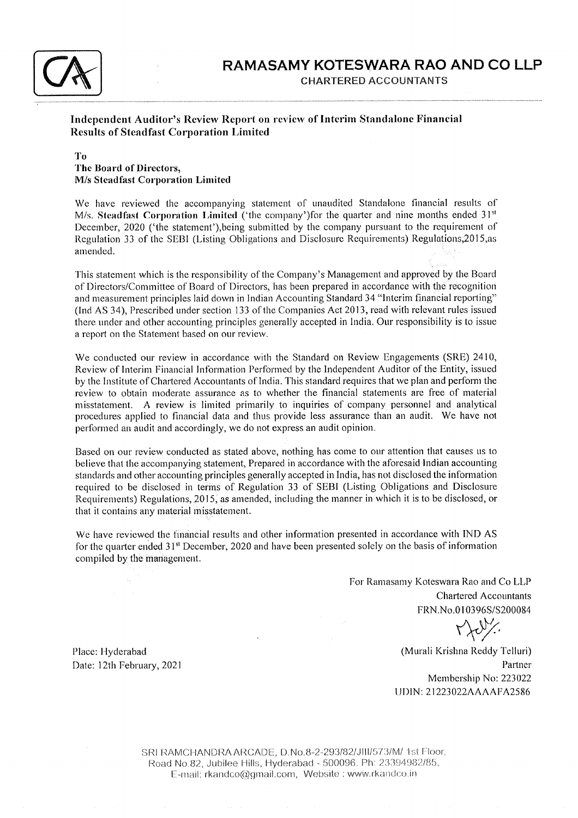

## Independent Auditor's Review Report on review of Interim Standalone Financial Results of Steadfast Corporation Linrited

#### To The Board of Directors, M/s Stcadfast Corporation Limited

We have reviewed the accompanying statement of unaudited Standalone financial results of M/s. Steadfast Corporation Limited ('the company')for the quarter and nine months ended  $31<sup>st</sup>$ December, 2020 ('the statement'), being submitted by the company pursuant to the requirement of Regulation 33 of the SEBI (Listing Obligations and Disclosure Requirements) Regulations,2015,as amended.

This statement which is the responsibility of the Company's Management and approved by the Board of Directors/Committee of Board of Directors, has been prepared in accordance with the recoguition and measurement principles laid down in Indian Accounting Standard 34 "Interim financial reporting" (Ind AS 34), Prescribed under section 133 of the Companies Act 2013, read with relevant rules issued there under and other accounting principles generally accepted in India. Our responsibility is to issue a report on the Statement based on our review.

We conducted our review in accordance with the Standard on Review Engagements (SRE) 2410, Review of Interim Financial Information Performed by the Independent Auditor of the Entity, issued by the Institute of Chartered Accountants of India. This standard requires that we plan and perform the review to obtain moderate assurance as to whether the financial statements are free of material misstatement. A review is limited primarily to inquiries of company personnel and analytical procedures applied to financial data and thus provide less assurance than an audit. We have not performed an audit and accordingly, we do not express an audit opinion.

Based on our review conducted as stated above, nothing has come to our attention that causes us to believe that the accompanying statement, Prepared in accordance with the aforesaid Indian accounting standards and other accounting principles generally accepted in India, has not disclosed the information required to be disclosed in terms of Regulation 33 of SEBI (Listing Obligations aud Disclosure Requirements) Regulations, 2015, as amended, including the manner in which it is to be disclosed, or that it contains any material misstatement.

We have reviewed the financial results and other inforrnation presented in accordance with IND AS for the quarter ended  $31<sup>st</sup>$  December, 2020 and have been presented solely on the basis of information compiled by the management.

> For Ramasamy Koteswara Rao and Co LLP Chartered Accountants FRN.No.0 I 0396S/S200084

 $010396S/S$ 

(Murali Krishna Reddy Telluri) Partner Membership No:223022 UDIN: 21223022AAAAFA2586

Place: Hyderabad Date: l2th February, <sup>2021</sup>

> SRI RAMCHANDRA ARCADE, D.No.8-2-293/82/JIII/573/M/ 1st Floor, Road No.82, Jubilee Hills, Hyderabad - 500096. Ph: 23394982/85, E-mail: rkandco@gmail.com, Website : www.rkandco.in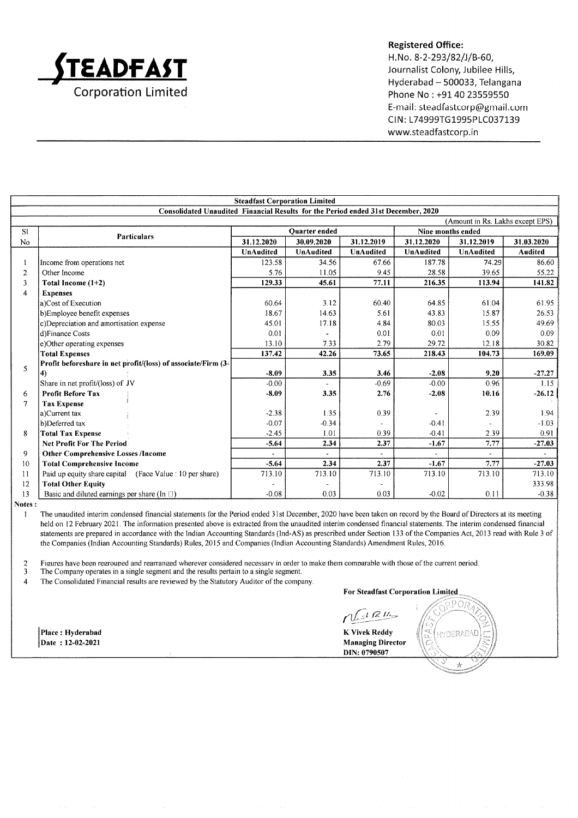

H.No. 8-2-293/82/J/B-60, Journalist Colony, Jubilee Hills, Hyderabad - 500033, Telangana Phone No : +91 40 23559550 E-mail: steadfastcorp@gmail.com CIN: L74999TG1995PLC037139 www.steadfastcorp. in

|                                                                                   | <b>Steadfast Corporation Limited</b>                          |                      |                  |                  |                   |                  |                |
|-----------------------------------------------------------------------------------|---------------------------------------------------------------|----------------------|------------------|------------------|-------------------|------------------|----------------|
| Consolidated Unaudited Financial Results for the Period ended 31st December, 2020 |                                                               |                      |                  |                  |                   |                  |                |
|                                                                                   | (Amount in Rs. Lakhs except EPS)                              |                      |                  |                  |                   |                  |                |
| S1                                                                                | <b>Particulars</b>                                            | <b>Quarter</b> ended |                  |                  | Nine months ended |                  |                |
| <b>No</b>                                                                         |                                                               | 31.12.2020           | 30.09.2020       | 31.12.2019       | 31.12.2020        | 31.12.2019       | 31.03.2020     |
|                                                                                   |                                                               | UnAudited            | <b>UnAudited</b> | <b>UnAudited</b> | <b>UnAudited</b>  | <b>UnAudited</b> | <b>Audited</b> |
| 1                                                                                 | Income from operations net                                    | 123.58               | 34.56            | 67.66            | 187.78            | 74.29            | 86.60          |
| 2                                                                                 | Other Income                                                  | 5.76                 | 11.05            | 9.45             | 28.58             | 39.65            | 55.22          |
| 3                                                                                 | Total Income (1+2)                                            | 129.33               | 45.61            | 77.11            | 216.35            | 113.94           | 141.82         |
| 4                                                                                 | <b>Expenses</b>                                               |                      |                  |                  |                   |                  |                |
|                                                                                   | a)Cost of Execution                                           | 60.64                | 3.12             | 60.40            | 64.85             | 61.04            | 61.95          |
|                                                                                   | b)Employee benefit expenses                                   | 18.67                | 14.63            | 5.61             | 43.83             | 15.87            | 26.53          |
|                                                                                   | c)Depreciation and amortisation expense                       | 45.01                | 17.18            | 4.84             | 80.03             | 15.55            | 49.69          |
|                                                                                   | d)Finance Costs                                               | 0.01                 |                  | 0.01             | 0.01              | 0.09             | 0.09           |
|                                                                                   | e)Other operating expenses                                    | 13.10                | 7.33             | 2.79             | 29.72             | 12.18            | 30.82          |
|                                                                                   | <b>Total Expenses</b>                                         | 137.42               | 42.26            | 73.65            | 218.43            | 104.73           | 169.09         |
| 5                                                                                 | Profit beforeshare in net profit/(loss) of associate/Firm (3- |                      |                  |                  |                   |                  |                |
|                                                                                   | $\vert 4$                                                     | $-8.09$              | 3.35             | 3.46             | $-2.08$           | 9.20             | $-27.27$       |
|                                                                                   | Share in net profit/(loss) of JV                              | $-0.00$              | $\blacksquare$   | $-0.69$          | $-0.00$           | 0.96             | 1.15           |
| 6                                                                                 | <b>Profit Before Tax</b>                                      | $-8.09$              | 3.35             | 2.76             | $-2.08$           | 10.16            | $-26.12$       |
| 7                                                                                 | <b>Tax Expense</b>                                            |                      |                  |                  |                   |                  |                |
|                                                                                   | a)Current tax                                                 | $-2.38$              | 1.35             | 0.39             | $\overline{a}$    | 2.39             | 1.94           |
|                                                                                   | b)Deferred tax                                                | $-0.07$              | $-0.34$          |                  | $-0.41$           |                  | $-1.03$        |
| 8                                                                                 | <b>Total Tax Expense</b>                                      | $-2.45$              | 1.01             | 0.39             | $-0.41$           | 2.39             | 0.91           |
|                                                                                   | <b>Net Profit For The Period</b>                              | $-5.64$              | 2.34             | 2.37             | $-1.67$           | 7.77             | $-27.03$       |
| 9                                                                                 | <b>Other Comprehensive Losses /Income</b>                     |                      |                  |                  |                   |                  |                |
| 10                                                                                | <b>Total Comprehensive Income</b>                             | $-5.64$              | 2.34             | 2.37             | $-1.67$           | 7.77             | $-27.03$       |
| 11                                                                                | Paid up equity share capital (Face Value : 10 per share)      | 713.10               | 713.10           | 713.10           | 713.10            | 713.10           | 713.10         |
| 12                                                                                | <b>Total Other Equity</b>                                     |                      |                  |                  |                   |                  | 333.98         |
| 13                                                                                | Basic and diluted earnings per share (In $\Box$ )             | $-0.08$              | 0.03             | 0.03             | $-0.02$           | 0.11             | $-0.38$        |

Notes

I The unaudited interim condensed financial statements for the Period ended 31st December, 2020 have been taken on record by the Board of Directors at its meeting held on 12 February 2021. The information presented above is extracted from the unaudited interim condensed financial statements. The interim condensed financial statements are prepared in accordance with the Indian Accounting Standards (Ind-AS) as prescribed under Section 133 ofthe Companies Act,20l3 read with Rule 3 of the Companies (Indian Accounting Standards) Rules, 2015 and Companies (Indian Accounting Standards) Amendment Rules, 2016.

2 Figures have been regrouped and rearranged wherever considered necessary in order to make them comparable with those of the current period.<br>The Company operates in a single segment and the results pertain to a single seg

4 The Consolidated Financial results are reviewed by the Statutory Auditor ofthe company.

Place : Hyderabad Date : 12-02-2021

 $n$  $F$ 

For Steadfast Corporation

 $\lhd$ LL, HY DERABAD

1)O

K Vivek Reddy Managing Director DIN: 0790507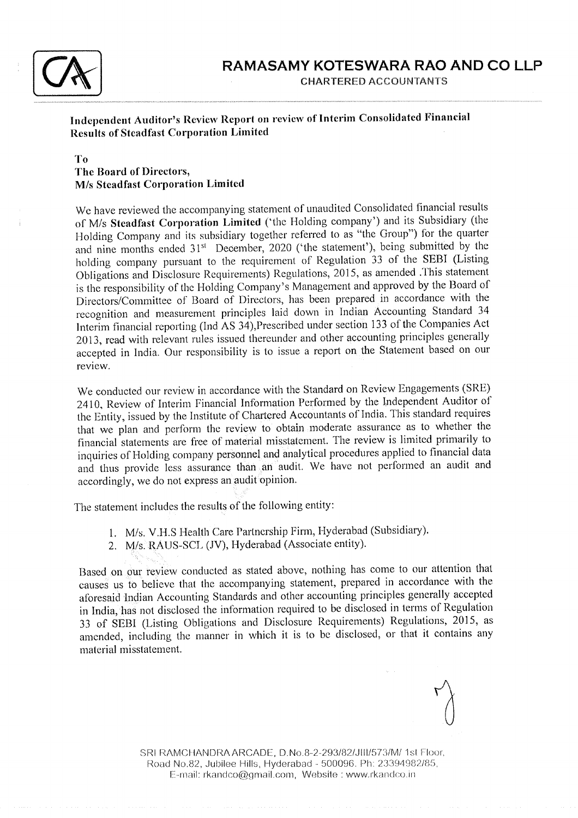

# Independent Auditor's Review Report on review of Interim Consolidated Financial Results of Steadfast Corporation Limited

## To The Board of Directors, M/s Steadfast Corporation Limitcd

We have reviewed the accompanying statement of unaudited Consolidated financial results of M/s Steadfast Corporation Limited ('the Holding company') and its Subsidiary (the Holding Company and its subsidiary together referred to as "the Group") for the quarter and nine months ended 31<sup>st</sup> December, 2020 ('the statement'), being submitted by the holding company pursuant to the requirement of Regulation 33 of the SEBI (Listing Obligations and Disclosure Requirements) Regulations, 2015, as amended .This statement is the responsibility of the Holding Company's Management and approved by the Board of Directors/Committee of Board of Directors, has been prepared in accordance with the recognition and measurement principles laid down in Indian Accounting Standard 34 Interim financial reporting (Ind AS 34), Prescribed under section 133 of the Companies Act 2013, read with relevant rules issued thereunder and other accounting principles generally accepted in India. Our responsibility is to issue a report on the Statement based on our review.

We conducted our review in accordance with the Standard on Review Engagements (SRE) 2410, Review of Interim Financial Information Performed by the Independent Auditor of the Entity, issued by the Institute of Chartered Accountants of India. This standard requires that we plan and perform the review to obtain moderate assurance as to whether the financial statements are free of material misstatenrent. The review is limited primarily to inquiries of Holding company personnel and analytical procedures applied to financial data and thus provide less assurance than an audit. We have not performed an audit and accordingly, we do not express an audit opinion.

The statement includes the results of the following entity:

- 1. M/s. V.H.S Health Care Partnership Firm, Hyderabad (Subsidiary).
- 2. M/s RAUS-SCL (JV), Hyderabad (Associate entity).

Based on our review conducted as stated above, nothing has come to our attention that causes us to believe that the accompanying statement, prepared in accordance with the aforesaid Indian Accounting Standards and other accounting principles generally accepted in India, has not disclosed the information required to be disclosed in terms of Regulation 33 of SEBI (Listing Obligations and Disclosure Requirements) Regulations, 2015, as amended, including the manner in which it is to be disclosed, or that it contains any material misstatement.

SRI RAMCHANDRA ARCADE, D.No.8-2-293/82/JIII/573/M/ 1st Floor, Road No.82, Jubilee Hills, Hyderabad - 500096. Ph: 23394982/85, E-mail: rkandco@gmail.com, Website : www.rkandco.in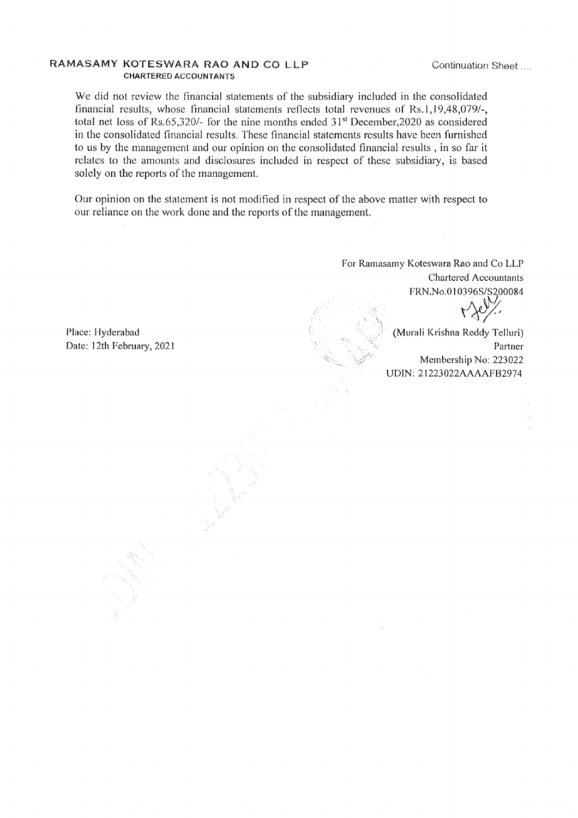#### RAMASAMY KOTESWARA RAO AND CO LLP CHARTERED ACCOUNTANTS

Continuation Sheet.

We did not review the financial statements of the subsidiary included in the consolidated financial results, whose financial statements reflects total revenues of  $Rs.1,19,48,079/$ total net loss of Rs.65,320/- for the nine months ended  $31<sup>st</sup>$  December,2020 as considered in the consolidated financial results. These financial statements results have been furnished to us by the managenrent and our opinion on the consolidated financial results , in so far it relates to the amounts and disclosures included in respect of these subsidiary, is based solely on the reports of the management.

Our opinion on the statement is not modified in respect of the above matter with respect to our reliance on the work done and the reports of the management.

> - rt 'r .'t1 '\\. .;  $\leqslant \geqslant^{\prime \prime}$

Place: Hyderabad Date: l2th February, <sup>2021</sup>

For Ramasarny Koteswara Rao and Co LLP Chartered Accountants FRN.No.010396S/S200084  $\mathcal{N}'$  .  $\cdot$  :t' is the second  $\mathcal{N}'$ 

 $A \in \mathcal{N}$ (Murali Krishna Reddy Telluri) Partner Membership No: 223022 UDIN: 21223022AAAAFB2974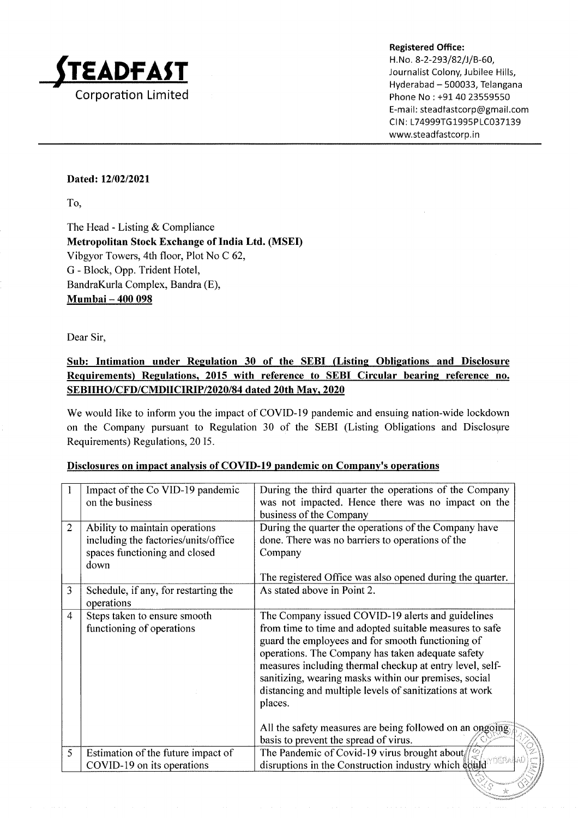

Registered Office: H. No. 8-2-293/82/J/B-60, Journalist Colony, Jubilee Hills, Hyderabad - 500033, Telangana Phone No: +91 40 23559550 E-ma il: steadtastcorp@gmail.com CIN: L74999TG1995PLC037139 www.steadfastcorp. in

f'

 $\heartsuit$ 

## Dated: 12/02/2021

To,

The Head - Listing & Compliance Metropolitan Stock Exchange of India Ltd. (MSEI) Vibgyor Towers, 4th floor, Plot No C 62, G - Block, Opp. Trident Hotel, BandraKurla Complex, Bandra (E), Mumbai - 400 098

Dear Sir,

# Sub: Intimation under Regulation 30 of the SEBI (Listing Obligations and Disclosure Requirements) Regulations, 2015 with reference to SEBI Circular bearing reference no. SEBIIHO/CFD/CMDIICIRIP/2020/84 dated 20th Mav. 2020

We would like to inform you the impact of COVID-19 pandemic and ensuing nation-wide lockdown on the Company pursuant to Regulation 30 of the SEBI (Listing Obligations and Disclosyre Requirements) Regulations, 20 15.

|  |  | Disclosures on impact analysis of COVID-19 pandemic on Company's operations |  |
|--|--|-----------------------------------------------------------------------------|--|
|  |  |                                                                             |  |

|                | Impact of the Co VID-19 pandemic<br>on the business                                                             | During the third quarter the operations of the Company<br>was not impacted. Hence there was no impact on the<br>business of the Company                                                                                                                                                                                                                                                                                                                                                                                |
|----------------|-----------------------------------------------------------------------------------------------------------------|------------------------------------------------------------------------------------------------------------------------------------------------------------------------------------------------------------------------------------------------------------------------------------------------------------------------------------------------------------------------------------------------------------------------------------------------------------------------------------------------------------------------|
| $\overline{2}$ | Ability to maintain operations<br>including the factories/units/office<br>spaces functioning and closed<br>down | During the quarter the operations of the Company have<br>done. There was no barriers to operations of the<br>Company<br>The registered Office was also opened during the quarter.                                                                                                                                                                                                                                                                                                                                      |
| 3              | Schedule, if any, for restarting the<br>operations                                                              | As stated above in Point 2.                                                                                                                                                                                                                                                                                                                                                                                                                                                                                            |
| $\overline{4}$ | Steps taken to ensure smooth<br>functioning of operations                                                       | The Company issued COVID-19 alerts and guidelines<br>from time to time and adopted suitable measures to safe<br>guard the employees and for smooth functioning of<br>operations. The Company has taken adequate safety<br>measures including thermal checkup at entry level, self-<br>sanitizing, wearing masks within our premises, social<br>distancing and multiple levels of sanitizations at work<br>places.<br>All the safety measures are being followed on an ongoing<br>basis to prevent the spread of virus. |
| 5              | Estimation of the future impact of<br>COVID-19 on its operations                                                | The Pandemic of Covid-19 virus brought about $\frac{1}{2}$<br>disruptions in the Construction industry which could                                                                                                                                                                                                                                                                                                                                                                                                     |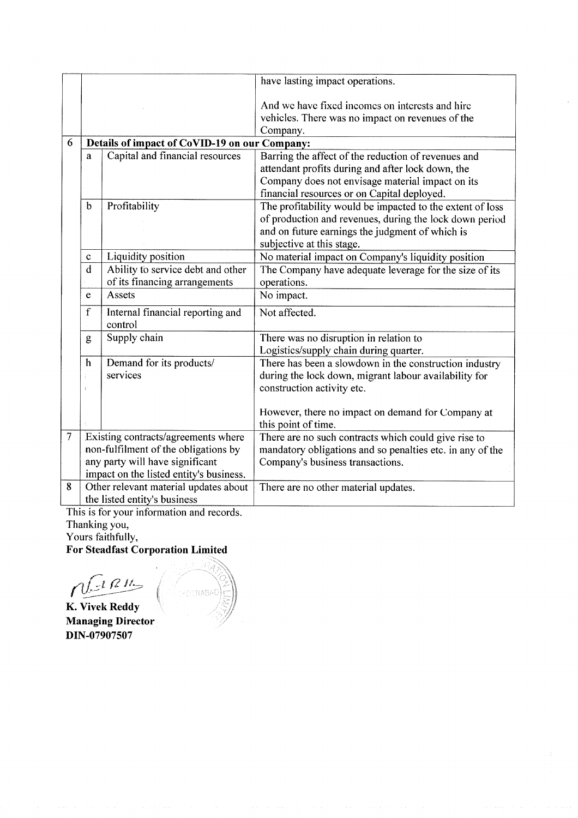|                |                              |                                                                            | have lasting impact operations.                                                                                      |  |  |
|----------------|------------------------------|----------------------------------------------------------------------------|----------------------------------------------------------------------------------------------------------------------|--|--|
|                |                              |                                                                            | And we have fixed incomes on interests and hire<br>vehicles. There was no impact on revenues of the<br>Company.      |  |  |
| 6              |                              | Details of impact of CoVID-19 on our Company:                              |                                                                                                                      |  |  |
|                | a                            | Capital and financial resources                                            | Barring the affect of the reduction of revenues and                                                                  |  |  |
|                |                              |                                                                            | attendant profits during and after lock down, the                                                                    |  |  |
|                |                              |                                                                            | Company does not envisage material impact on its                                                                     |  |  |
|                | $\mathbf b$                  | Profitability                                                              | financial resources or on Capital deployed.                                                                          |  |  |
|                |                              |                                                                            | The profitability would be impacted to the extent of loss<br>of production and revenues, during the lock down period |  |  |
|                |                              |                                                                            | and on future earnings the judgment of which is                                                                      |  |  |
|                |                              |                                                                            | subjective at this stage.                                                                                            |  |  |
|                | C                            | Liquidity position                                                         | No material impact on Company's liquidity position                                                                   |  |  |
|                | d                            | Ability to service debt and other                                          | The Company have adequate leverage for the size of its                                                               |  |  |
|                |                              | of its financing arrangements                                              | operations.                                                                                                          |  |  |
|                | e                            | Assets                                                                     | No impact.                                                                                                           |  |  |
|                | $\mathbf f$                  | Internal financial reporting and<br>control                                | Not affected.                                                                                                        |  |  |
|                | Supply chain<br>g            |                                                                            | There was no disruption in relation to                                                                               |  |  |
|                |                              |                                                                            | Logistics/supply chain during quarter.                                                                               |  |  |
|                | $\mathbf h$                  | Demand for its products/<br>services                                       | There has been a slowdown in the construction industry                                                               |  |  |
|                |                              |                                                                            | during the lock down, migrant labour availability for<br>construction activity etc.                                  |  |  |
|                |                              |                                                                            |                                                                                                                      |  |  |
|                |                              |                                                                            | However, there no impact on demand for Company at                                                                    |  |  |
|                |                              |                                                                            | this point of time.                                                                                                  |  |  |
| $\overline{7}$ |                              | Existing contracts/agreements where                                        | There are no such contracts which could give rise to                                                                 |  |  |
|                |                              | non-fulfilment of the obligations by                                       | mandatory obligations and so penalties etc. in any of the                                                            |  |  |
|                |                              | any party will have significant<br>impact on the listed entity's business. | Company's business transactions.                                                                                     |  |  |
| 8              |                              | Other relevant material updates about                                      | There are no other material updates.                                                                                 |  |  |
|                | the listed entity's business |                                                                            |                                                                                                                      |  |  |
|                |                              |                                                                            |                                                                                                                      |  |  |

This is for your information and records Thanking you,

t

Yours faithfully,

For Steadfast Corporation Limited

 $A$   $\mathcal{R}$   $I$ 

K. Vivek Reddy Managing Director DIN-07907507

**MOTRABAD**E